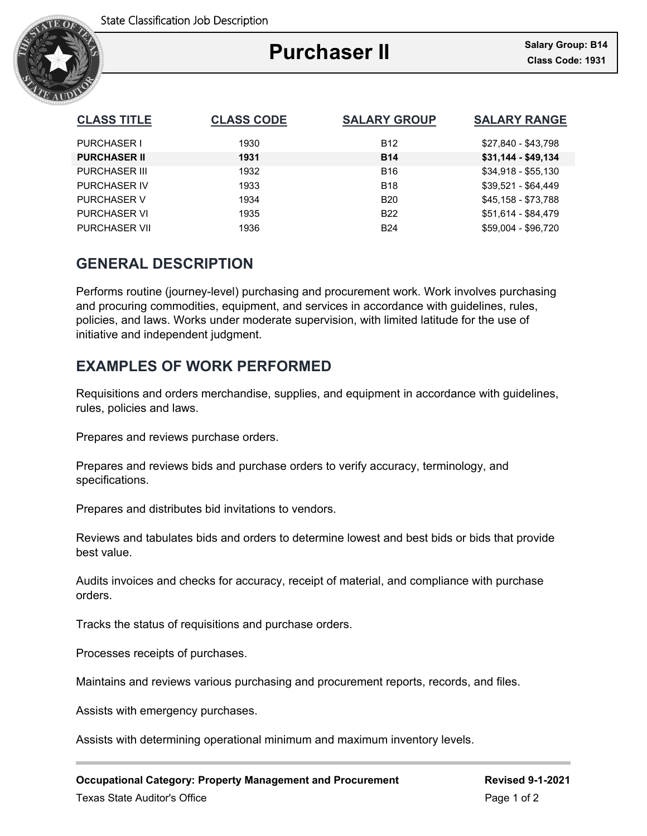

# **Purchaser II**

Ξ

| <b>CLASS TITLE</b>   | <b>CLASS CODE</b> | <b>SALARY GROUP</b> | <b>SALARY RANGE</b> |
|----------------------|-------------------|---------------------|---------------------|
| <b>PURCHASER I</b>   | 1930              | <b>B12</b>          | \$27,840 - \$43,798 |
| <b>PURCHASER II</b>  | 1931              | <b>B14</b>          | $$31,144 - $49,134$ |
| <b>PURCHASER III</b> | 1932              | <b>B16</b>          | $$34,918 - $55,130$ |
| <b>PURCHASER IV</b>  | 1933              | <b>B18</b>          | \$39,521 - \$64,449 |
| <b>PURCHASER V</b>   | 1934              | <b>B20</b>          | \$45,158 - \$73,788 |
| <b>PURCHASER VI</b>  | 1935              | <b>B22</b>          | \$51,614 - \$84,479 |
| <b>PURCHASER VII</b> | 1936              | <b>B24</b>          | \$59,004 - \$96,720 |

## **GENERAL DESCRIPTION**

Performs routine (journey-level) purchasing and procurement work. Work involves purchasing and procuring commodities, equipment, and services in accordance with guidelines, rules, policies, and laws. Works under moderate supervision, with limited latitude for the use of initiative and independent judgment.

# **EXAMPLES OF WORK PERFORMED**

Requisitions and orders merchandise, supplies, and equipment in accordance with guidelines, rules, policies and laws.

Prepares and reviews purchase orders.

Prepares and reviews bids and purchase orders to verify accuracy, terminology, and specifications.

Prepares and distributes bid invitations to vendors.

Reviews and tabulates bids and orders to determine lowest and best bids or bids that provide best value.

Audits invoices and checks for accuracy, receipt of material, and compliance with purchase orders.

Tracks the status of requisitions and purchase orders.

Processes receipts of purchases.

Maintains and reviews various purchasing and procurement reports, records, and files.

Assists with emergency purchases.

Assists with determining operational minimum and maximum inventory levels.

**Occupational Category: Property Management and Procurement Frame Revised 9-1-2021** Texas State Auditor's Office **Page 1 of 2** and 2